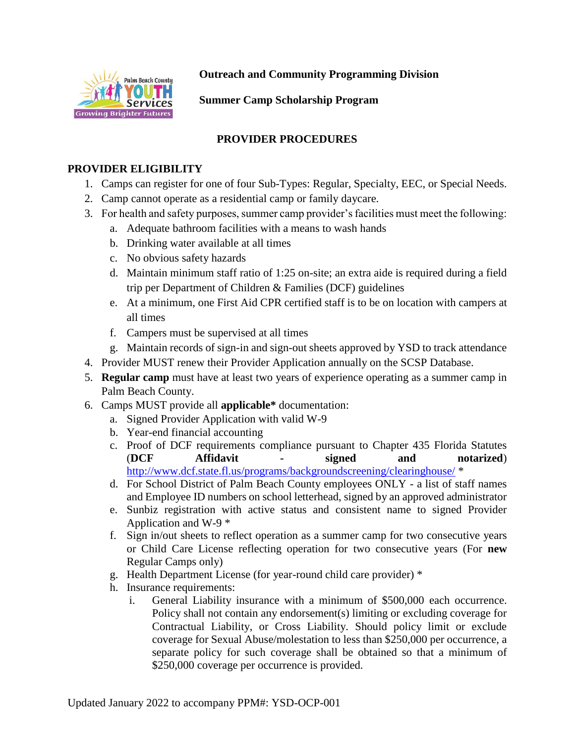

**Outreach and Community Programming Division**

**Summer Camp Scholarship Program**

# **PROVIDER PROCEDURES**

#### **PROVIDER ELIGIBILITY**

- 1. Camps can register for one of four Sub-Types: Regular, Specialty, EEC, or Special Needs.
- 2. Camp cannot operate as a residential camp or family daycare.
- 3. For health and safety purposes, summer camp provider's facilities must meet the following:
	- a. Adequate bathroom facilities with a means to wash hands
	- b. Drinking water available at all times
	- c. No obvious safety hazards
	- d. Maintain minimum staff ratio of 1:25 on-site; an extra aide is required during a field trip per Department of Children & Families (DCF) guidelines
	- e. At a minimum, one First Aid CPR certified staff is to be on location with campers at all times
	- f. Campers must be supervised at all times
	- g. Maintain records of sign-in and sign-out sheets approved by YSD to track attendance
- 4. Provider MUST renew their Provider Application annually on the SCSP Database.
- 5. **Regular camp** must have at least two years of experience operating as a summer camp in Palm Beach County.
- 6. Camps MUST provide all **applicable\*** documentation:
	- a. Signed Provider Application with valid W-9
	- b. Year-end financial accounting
	- c. Proof of DCF requirements compliance pursuant to Chapter 435 Florida Statutes (**DCF Affidavit - signed and notarized**) <http://www.dcf.state.fl.us/programs/backgroundscreening/clearinghouse/> \*
	- d. For School District of Palm Beach County employees ONLY a list of staff names and Employee ID numbers on school letterhead, signed by an approved administrator
	- e. Sunbiz registration with active status and consistent name to signed Provider Application and W-9 \*
	- f. Sign in/out sheets to reflect operation as a summer camp for two consecutive years or Child Care License reflecting operation for two consecutive years (For **new** Regular Camps only)
	- g. Health Department License (for year-round child care provider) \*
	- h. Insurance requirements:
		- i. General Liability insurance with a minimum of \$500,000 each occurrence. Policy shall not contain any endorsement(s) limiting or excluding coverage for Contractual Liability, or Cross Liability. Should policy limit or exclude coverage for Sexual Abuse/molestation to less than \$250,000 per occurrence, a separate policy for such coverage shall be obtained so that a minimum of \$250,000 coverage per occurrence is provided.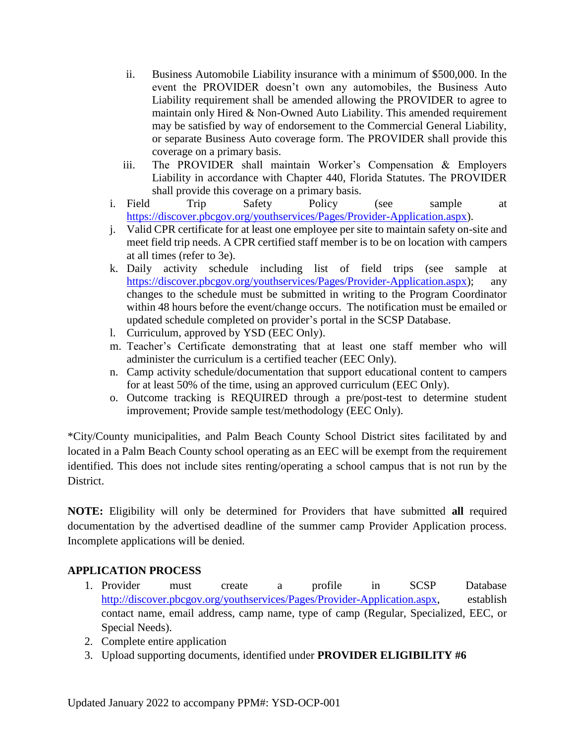- ii. Business Automobile Liability insurance with a minimum of \$500,000. In the event the PROVIDER doesn't own any automobiles, the Business Auto Liability requirement shall be amended allowing the PROVIDER to agree to maintain only Hired & Non-Owned Auto Liability. This amended requirement may be satisfied by way of endorsement to the Commercial General Liability, or separate Business Auto coverage form. The PROVIDER shall provide this coverage on a primary basis.
- iii. The PROVIDER shall maintain Worker's Compensation & Employers Liability in accordance with Chapter 440, Florida Statutes. The PROVIDER shall provide this coverage on a primary basis.
- i. Field Trip Safety Policy (see sample at [https://discover.pbcgov.org/youthservices/Pages/Provider-Application.aspx\)](https://discover.pbcgov.org/youthservices/Pages/Provider-Application.aspx).
- j. Valid CPR certificate for at least one employee per site to maintain safety on-site and meet field trip needs. A CPR certified staff member is to be on location with campers at all times (refer to 3e).
- k. Daily activity schedule including list of field trips (see sample at [https://discover.pbcgov.org/youthservices/Pages/Provider-Application.aspx\)](https://discover.pbcgov.org/youthservices/Pages/Provider-Application.aspx); any changes to the schedule must be submitted in writing to the Program Coordinator within 48 hours before the event/change occurs. The notification must be emailed or updated schedule completed on provider's portal in the SCSP Database.
- l. Curriculum, approved by YSD (EEC Only).
- m. Teacher's Certificate demonstrating that at least one staff member who will administer the curriculum is a certified teacher (EEC Only).
- n. Camp activity schedule/documentation that support educational content to campers for at least 50% of the time, using an approved curriculum (EEC Only).
- o. Outcome tracking is REQUIRED through a pre/post-test to determine student improvement; Provide sample test/methodology (EEC Only).

\*City/County municipalities, and Palm Beach County School District sites facilitated by and located in a Palm Beach County school operating as an EEC will be exempt from the requirement identified. This does not include sites renting/operating a school campus that is not run by the District.

**NOTE:** Eligibility will only be determined for Providers that have submitted **all** required documentation by the advertised deadline of the summer camp Provider Application process. Incomplete applications will be denied.

# **APPLICATION PROCESS**

- 1. Provider must create a profile in SCSP Database [http://discover.pbcgov.org/youthservices/Pages/Provider-Application.aspx,](http://discover.pbcgov.org/youthservices/Pages/Provider-Application.aspx) establish contact name, email address, camp name, type of camp (Regular, Specialized, EEC, or Special Needs).
- 2. Complete entire application
- 3. Upload supporting documents, identified under **PROVIDER ELIGIBILITY #6**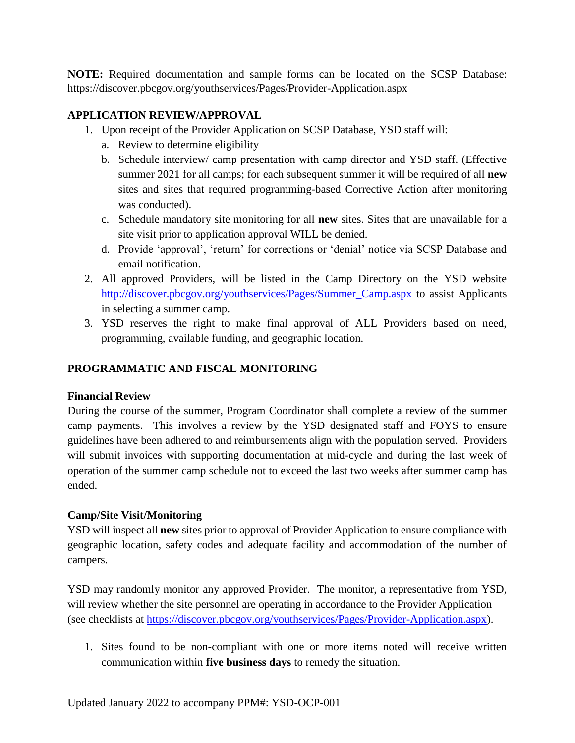**NOTE:** Required documentation and sample forms can be located on the SCSP Database: https://discover.pbcgov.org/youthservices/Pages/Provider-Application.aspx

## **APPLICATION REVIEW/APPROVAL**

- 1. Upon receipt of the Provider Application on SCSP Database, YSD staff will:
	- a. Review to determine eligibility
	- b. Schedule interview/ camp presentation with camp director and YSD staff. (Effective summer 2021 for all camps; for each subsequent summer it will be required of all **new** sites and sites that required programming-based Corrective Action after monitoring was conducted).
	- c. Schedule mandatory site monitoring for all **new** sites. Sites that are unavailable for a site visit prior to application approval WILL be denied.
	- d. Provide 'approval', 'return' for corrections or 'denial' notice via SCSP Database and email notification.
- 2. All approved Providers, will be listed in the Camp Directory on the YSD website [http://discover.pbcgov.org/youthservices/Pages/Summer\\_Camp.aspx](http://discover.pbcgov.org/youthservices/Pages/Summer_Camp.aspx) to assist Applicants in selecting a summer camp.
- 3. YSD reserves the right to make final approval of ALL Providers based on need, programming, available funding, and geographic location.

### **PROGRAMMATIC AND FISCAL MONITORING**

### **Financial Review**

During the course of the summer, Program Coordinator shall complete a review of the summer camp payments. This involves a review by the YSD designated staff and FOYS to ensure guidelines have been adhered to and reimbursements align with the population served. Providers will submit invoices with supporting documentation at mid-cycle and during the last week of operation of the summer camp schedule not to exceed the last two weeks after summer camp has ended.

### **Camp/Site Visit/Monitoring**

YSD will inspect all **new** sites prior to approval of Provider Application to ensure compliance with geographic location, safety codes and adequate facility and accommodation of the number of campers.

YSD may randomly monitor any approved Provider. The monitor, a representative from YSD, will review whether the site personnel are operating in accordance to the Provider Application (see checklists at [https://discover.pbcgov.org/youthservices/Pages/Provider-Application.aspx\)](https://discover.pbcgov.org/youthservices/Pages/Provider-Application.aspx).

1. Sites found to be non-compliant with one or more items noted will receive written communication within **five business days** to remedy the situation.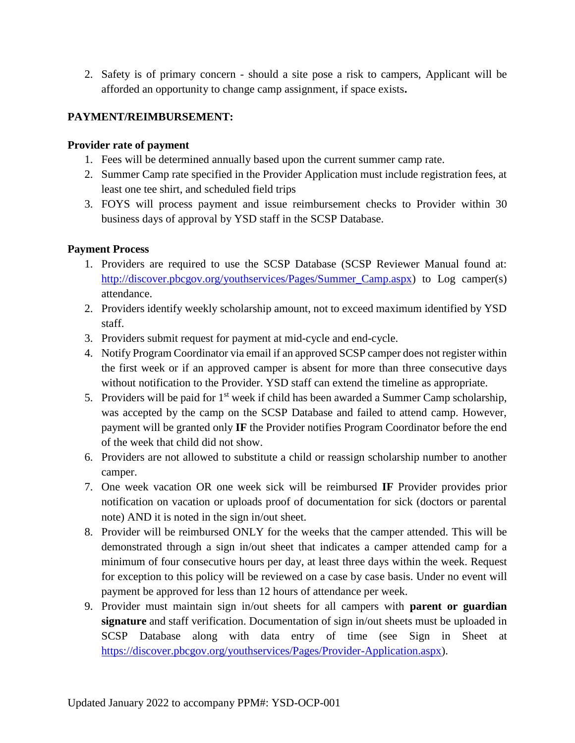2. Safety is of primary concern - should a site pose a risk to campers, Applicant will be afforded an opportunity to change camp assignment, if space exists**.**

### **PAYMENT/REIMBURSEMENT:**

#### **Provider rate of payment**

- 1. Fees will be determined annually based upon the current summer camp rate.
- 2. Summer Camp rate specified in the Provider Application must include registration fees, at least one tee shirt, and scheduled field trips
- 3. FOYS will process payment and issue reimbursement checks to Provider within 30 business days of approval by YSD staff in the SCSP Database.

#### **Payment Process**

- 1. Providers are required to use the SCSP Database (SCSP Reviewer Manual found at: [http://discover.pbcgov.org/youthservices/Pages/Summer\\_Camp.aspx\)](http://discover.pbcgov.org/youthservices/Pages/Summer_Camp.aspx) to Log camper(s) attendance.
- 2. Providers identify weekly scholarship amount, not to exceed maximum identified by YSD staff.
- 3. Providers submit request for payment at mid-cycle and end-cycle.
- 4. Notify Program Coordinator via email if an approved SCSP camper does not register within the first week or if an approved camper is absent for more than three consecutive days without notification to the Provider. YSD staff can extend the timeline as appropriate.
- 5. Providers will be paid for  $1<sup>st</sup>$  week if child has been awarded a Summer Camp scholarship, was accepted by the camp on the SCSP Database and failed to attend camp. However, payment will be granted only **IF** the Provider notifies Program Coordinator before the end of the week that child did not show.
- 6. Providers are not allowed to substitute a child or reassign scholarship number to another camper.
- 7. One week vacation OR one week sick will be reimbursed **IF** Provider provides prior notification on vacation or uploads proof of documentation for sick (doctors or parental note) AND it is noted in the sign in/out sheet.
- 8. Provider will be reimbursed ONLY for the weeks that the camper attended. This will be demonstrated through a sign in/out sheet that indicates a camper attended camp for a minimum of four consecutive hours per day, at least three days within the week. Request for exception to this policy will be reviewed on a case by case basis. Under no event will payment be approved for less than 12 hours of attendance per week.
- 9. Provider must maintain sign in/out sheets for all campers with **parent or guardian signature** and staff verification. Documentation of sign in/out sheets must be uploaded in SCSP Database along with data entry of time (see Sign in Sheet at [https://discover.pbcgov.org/youthservices/Pages/Provider-Application.aspx\)](https://discover.pbcgov.org/youthservices/Pages/Provider-Application.aspx).